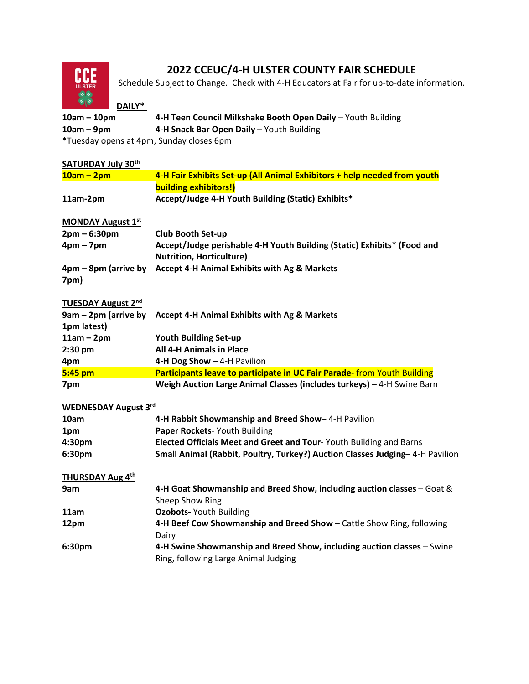

## **2022 CCEUC/4-H ULSTER COUNTY FAIR SCHEDULE**

Schedule Subject to Change. Check with 4-H Educators at Fair for up-to-date information.

## **DAILY\***

| $10am - 10pm$ | 4-H Teen Council Milkshake Booth Open Daily - Youth Building |
|---------------|--------------------------------------------------------------|
| $10am - 9pm$  | 4-H Snack Bar Open Daily – Youth Building                    |
| $*T \neq T$   |                                                              |

Tuesday opens at 4pm, Sunday closes 6pm

| <b>SATURDAY July 30th</b>           |                                                                                                                 |
|-------------------------------------|-----------------------------------------------------------------------------------------------------------------|
| $10am - 2pm$                        | 4-H Fair Exhibits Set-up (All Animal Exhibitors + help needed from youth                                        |
|                                     | <b>building exhibitors!)</b>                                                                                    |
| 11am-2pm                            | Accept/Judge 4-H Youth Building (Static) Exhibits*                                                              |
| <b>MONDAY August 1st</b>            |                                                                                                                 |
| $2pm - 6:30pm$                      | <b>Club Booth Set-up</b>                                                                                        |
| $4pm - 7pm$                         | Accept/Judge perishable 4-H Youth Building (Static) Exhibits* (Food and<br><b>Nutrition, Horticulture)</b>      |
| 4pm – 8pm (arrive by<br>7pm)        | <b>Accept 4-H Animal Exhibits with Ag &amp; Markets</b>                                                         |
| <b>TUESDAY August 2nd</b>           |                                                                                                                 |
| 9am - 2pm (arrive by<br>1pm latest) | Accept 4-H Animal Exhibits with Ag & Markets                                                                    |
| $11am - 2pm$                        | <b>Youth Building Set-up</b>                                                                                    |
| 2:30 pm                             | <b>All 4-H Animals in Place</b>                                                                                 |
| 4pm                                 | 4-H Dog Show - 4-H Pavilion                                                                                     |
| 5:45 pm                             | Participants leave to participate in UC Fair Parade- from Youth Building                                        |
| 7pm                                 | Weigh Auction Large Animal Classes (includes turkeys) - 4-H Swine Barn                                          |
| <b>WEDNESDAY August 3rd</b>         |                                                                                                                 |
| 10am                                | 4-H Rabbit Showmanship and Breed Show-4-H Pavilion                                                              |
| 1pm                                 | Paper Rockets-Youth Building                                                                                    |
| 4:30pm                              | Elected Officials Meet and Greet and Tour-Youth Building and Barns                                              |
| 6:30pm                              | Small Animal (Rabbit, Poultry, Turkey?) Auction Classes Judging-4-H Pavilion                                    |
| THURSDAY Aug 4th                    |                                                                                                                 |
| 9am                                 | 4-H Goat Showmanship and Breed Show, including auction classes - Goat &                                         |
|                                     | Sheep Show Ring                                                                                                 |
| 11am                                | <b>Ozobots- Youth Building</b>                                                                                  |
| 12pm                                | 4-H Beef Cow Showmanship and Breed Show - Cattle Show Ring, following<br>Dairy                                  |
| 6:30pm                              | 4-H Swine Showmanship and Breed Show, including auction classes - Swine<br>Ring, following Large Animal Judging |